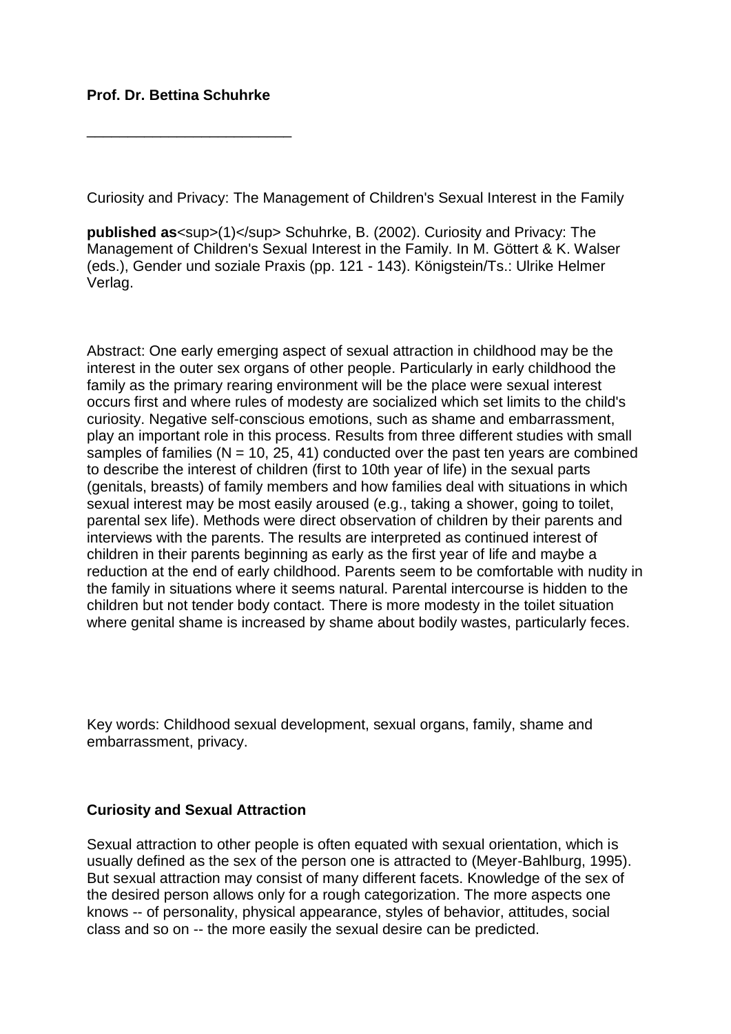## **Prof. Dr. Bettina Schuhrke**

\_\_\_\_\_\_\_\_\_\_\_\_\_\_\_\_\_\_\_\_\_\_\_\_\_

Curiosity and Privacy: The Management of Children's Sexual Interest in the Family

**published as**<sup>(1)</sup> Schuhrke, B. (2002). Curiosity and Privacy: The Management of Children's Sexual Interest in the Family. In M. Göttert & K. Walser (eds.), Gender und soziale Praxis (pp. 121 - 143). Königstein/Ts.: Ulrike Helmer Verlag.

Abstract: One early emerging aspect of sexual attraction in childhood may be the interest in the outer sex organs of other people. Particularly in early childhood the family as the primary rearing environment will be the place were sexual interest occurs first and where rules of modesty are socialized which set limits to the child's curiosity. Negative self-conscious emotions, such as shame and embarrassment, play an important role in this process. Results from three different studies with small samples of families ( $N = 10$ , 25, 41) conducted over the past ten years are combined to describe the interest of children (first to 10th year of life) in the sexual parts (genitals, breasts) of family members and how families deal with situations in which sexual interest may be most easily aroused (e.g., taking a shower, going to toilet, parental sex life). Methods were direct observation of children by their parents and interviews with the parents. The results are interpreted as continued interest of children in their parents beginning as early as the first year of life and maybe a reduction at the end of early childhood. Parents seem to be comfortable with nudity in the family in situations where it seems natural. Parental intercourse is hidden to the children but not tender body contact. There is more modesty in the toilet situation where genital shame is increased by shame about bodily wastes, particularly feces.

Key words: Childhood sexual development, sexual organs, family, shame and embarrassment, privacy.

## **Curiosity and Sexual Attraction**

Sexual attraction to other people is often equated with sexual orientation, which is usually defined as the sex of the person one is attracted to (Meyer-Bahlburg, 1995). But sexual attraction may consist of many different facets. Knowledge of the sex of the desired person allows only for a rough categorization. The more aspects one knows -- of personality, physical appearance, styles of behavior, attitudes, social class and so on -- the more easily the sexual desire can be predicted.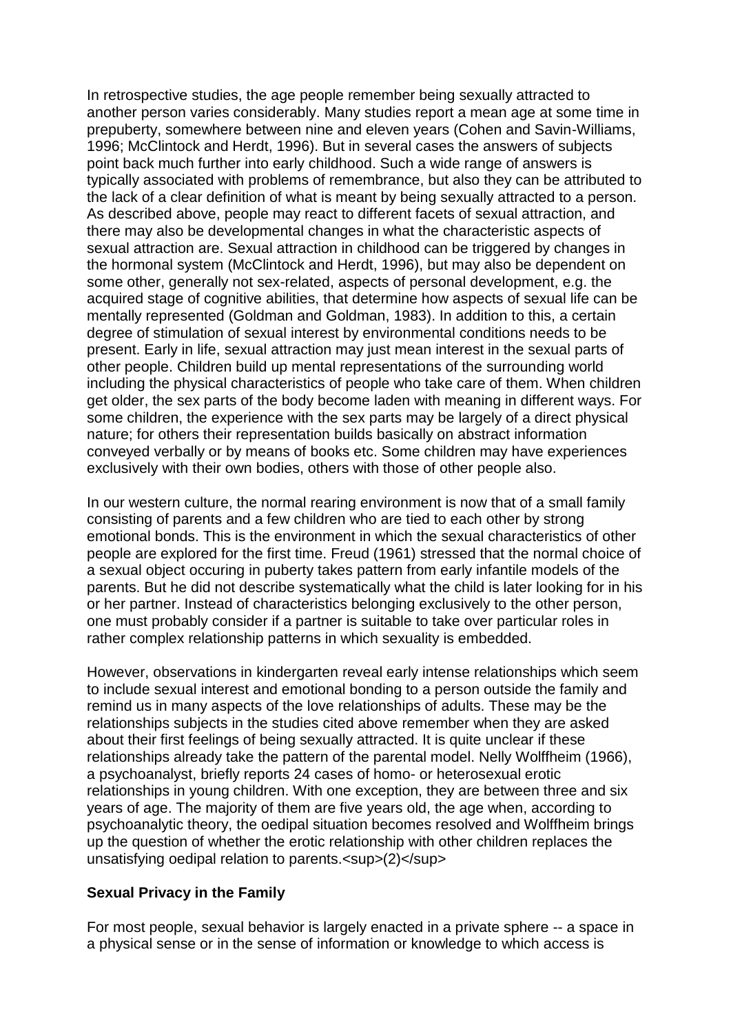In retrospective studies, the age people remember being sexually attracted to another person varies considerably. Many studies report a mean age at some time in prepuberty, somewhere between nine and eleven years (Cohen and Savin-Williams, 1996; McClintock and Herdt, 1996). But in several cases the answers of subjects point back much further into early childhood. Such a wide range of answers is typically associated with problems of remembrance, but also they can be attributed to the lack of a clear definition of what is meant by being sexually attracted to a person. As described above, people may react to different facets of sexual attraction, and there may also be developmental changes in what the characteristic aspects of sexual attraction are. Sexual attraction in childhood can be triggered by changes in the hormonal system (McClintock and Herdt, 1996), but may also be dependent on some other, generally not sex-related, aspects of personal development, e.g. the acquired stage of cognitive abilities, that determine how aspects of sexual life can be mentally represented (Goldman and Goldman, 1983). In addition to this, a certain degree of stimulation of sexual interest by environmental conditions needs to be present. Early in life, sexual attraction may just mean interest in the sexual parts of other people. Children build up mental representations of the surrounding world including the physical characteristics of people who take care of them. When children get older, the sex parts of the body become laden with meaning in different ways. For some children, the experience with the sex parts may be largely of a direct physical nature; for others their representation builds basically on abstract information conveyed verbally or by means of books etc. Some children may have experiences exclusively with their own bodies, others with those of other people also.

In our western culture, the normal rearing environment is now that of a small family consisting of parents and a few children who are tied to each other by strong emotional bonds. This is the environment in which the sexual characteristics of other people are explored for the first time. Freud (1961) stressed that the normal choice of a sexual object occuring in puberty takes pattern from early infantile models of the parents. But he did not describe systematically what the child is later looking for in his or her partner. Instead of characteristics belonging exclusively to the other person, one must probably consider if a partner is suitable to take over particular roles in rather complex relationship patterns in which sexuality is embedded.

However, observations in kindergarten reveal early intense relationships which seem to include sexual interest and emotional bonding to a person outside the family and remind us in many aspects of the love relationships of adults. These may be the relationships subjects in the studies cited above remember when they are asked about their first feelings of being sexually attracted. It is quite unclear if these relationships already take the pattern of the parental model. Nelly Wolffheim (1966), a psychoanalyst, briefly reports 24 cases of homo- or heterosexual erotic relationships in young children. With one exception, they are between three and six years of age. The majority of them are five years old, the age when, according to psychoanalytic theory, the oedipal situation becomes resolved and Wolffheim brings up the question of whether the erotic relationship with other children replaces the unsatisfying oedipal relation to parents.<sup>(2)</sup>

## **Sexual Privacy in the Family**

For most people, sexual behavior is largely enacted in a private sphere -- a space in a physical sense or in the sense of information or knowledge to which access is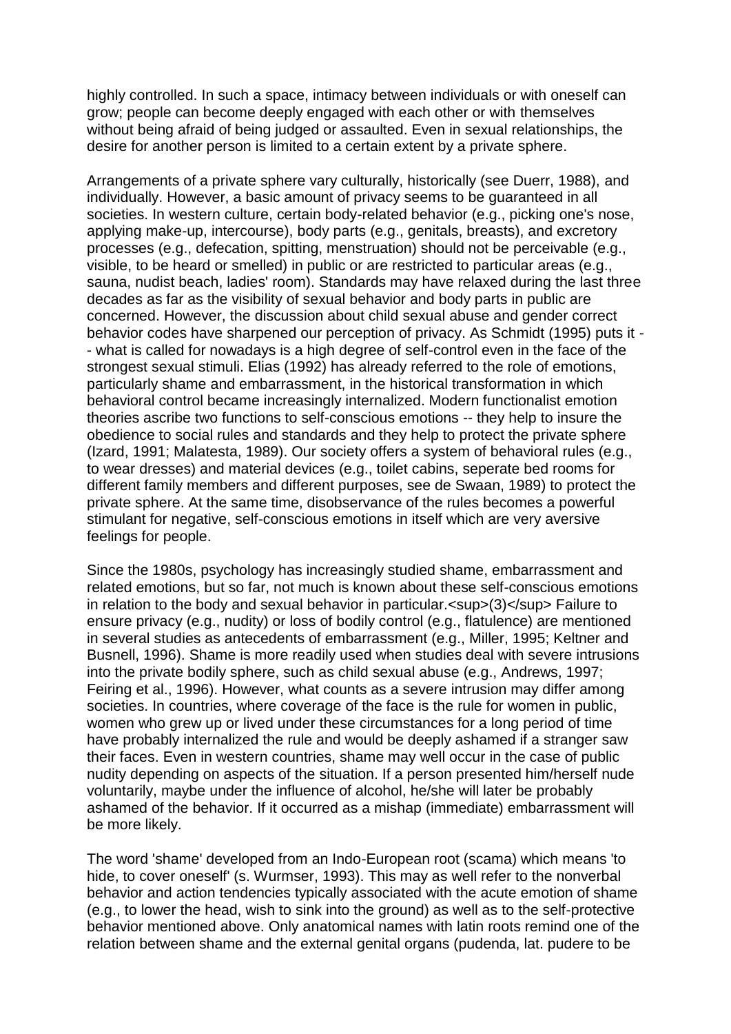highly controlled. In such a space, intimacy between individuals or with oneself can grow; people can become deeply engaged with each other or with themselves without being afraid of being judged or assaulted. Even in sexual relationships, the desire for another person is limited to a certain extent by a private sphere.

Arrangements of a private sphere vary culturally, historically (see Duerr, 1988), and individually. However, a basic amount of privacy seems to be guaranteed in all societies. In western culture, certain body-related behavior (e.g., picking one's nose, applying make-up, intercourse), body parts (e.g., genitals, breasts), and excretory processes (e.g., defecation, spitting, menstruation) should not be perceivable (e.g., visible, to be heard or smelled) in public or are restricted to particular areas (e.g., sauna, nudist beach, ladies' room). Standards may have relaxed during the last three decades as far as the visibility of sexual behavior and body parts in public are concerned. However, the discussion about child sexual abuse and gender correct behavior codes have sharpened our perception of privacy. As Schmidt (1995) puts it - - what is called for nowadays is a high degree of self-control even in the face of the strongest sexual stimuli. Elias (1992) has already referred to the role of emotions, particularly shame and embarrassment, in the historical transformation in which behavioral control became increasingly internalized. Modern functionalist emotion theories ascribe two functions to self-conscious emotions -- they help to insure the obedience to social rules and standards and they help to protect the private sphere (Izard, 1991; Malatesta, 1989). Our society offers a system of behavioral rules (e.g., to wear dresses) and material devices (e.g., toilet cabins, seperate bed rooms for different family members and different purposes, see de Swaan, 1989) to protect the private sphere. At the same time, disobservance of the rules becomes a powerful stimulant for negative, self-conscious emotions in itself which are very aversive feelings for people.

Since the 1980s, psychology has increasingly studied shame, embarrassment and related emotions, but so far, not much is known about these self-conscious emotions in relation to the body and sexual behavior in particular.<sup>(3)</sup> Failure to ensure privacy (e.g., nudity) or loss of bodily control (e.g., flatulence) are mentioned in several studies as antecedents of embarrassment (e.g., Miller, 1995; Keltner and Busnell, 1996). Shame is more readily used when studies deal with severe intrusions into the private bodily sphere, such as child sexual abuse (e.g., Andrews, 1997; Feiring et al., 1996). However, what counts as a severe intrusion may differ among societies. In countries, where coverage of the face is the rule for women in public, women who grew up or lived under these circumstances for a long period of time have probably internalized the rule and would be deeply ashamed if a stranger saw their faces. Even in western countries, shame may well occur in the case of public nudity depending on aspects of the situation. If a person presented him/herself nude voluntarily, maybe under the influence of alcohol, he/she will later be probably ashamed of the behavior. If it occurred as a mishap (immediate) embarrassment will be more likely.

The word 'shame' developed from an Indo-European root (scama) which means 'to hide, to cover oneself' (s. Wurmser, 1993). This may as well refer to the nonverbal behavior and action tendencies typically associated with the acute emotion of shame (e.g., to lower the head, wish to sink into the ground) as well as to the self-protective behavior mentioned above. Only anatomical names with latin roots remind one of the relation between shame and the external genital organs (pudenda, lat. pudere to be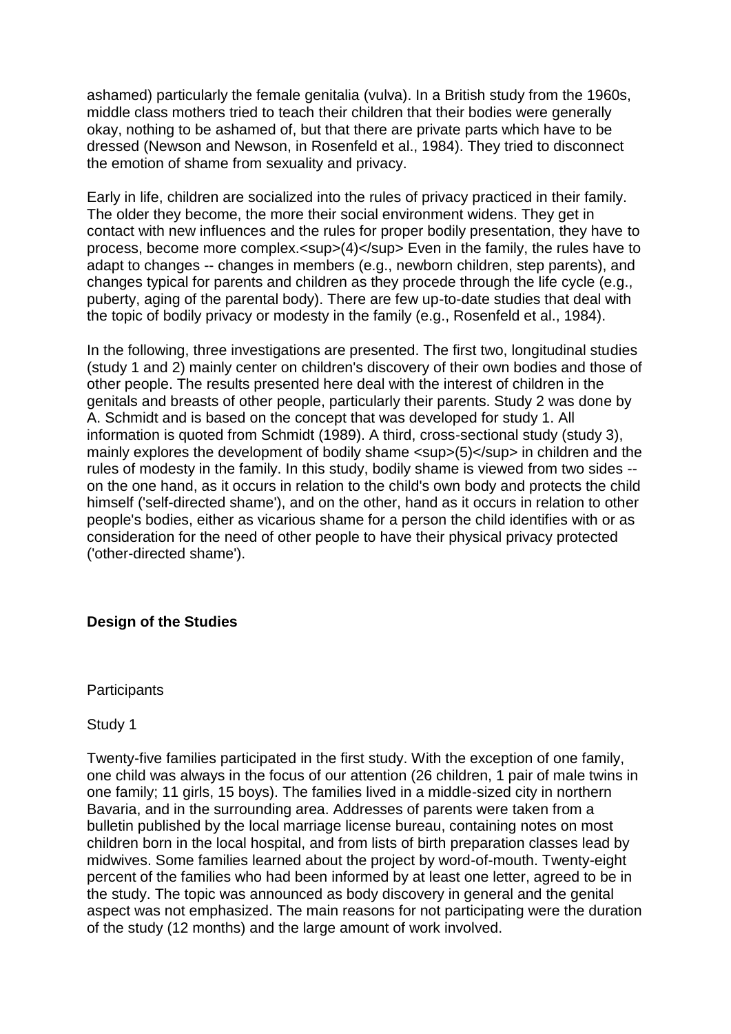ashamed) particularly the female genitalia (vulva). In a British study from the 1960s, middle class mothers tried to teach their children that their bodies were generally okay, nothing to be ashamed of, but that there are private parts which have to be dressed (Newson and Newson, in Rosenfeld et al., 1984). They tried to disconnect the emotion of shame from sexuality and privacy.

Early in life, children are socialized into the rules of privacy practiced in their family. The older they become, the more their social environment widens. They get in contact with new influences and the rules for proper bodily presentation, they have to process, become more complex.<sup>(4)</sup> Even in the family, the rules have to adapt to changes -- changes in members (e.g., newborn children, step parents), and changes typical for parents and children as they procede through the life cycle (e.g., puberty, aging of the parental body). There are few up-to-date studies that deal with the topic of bodily privacy or modesty in the family (e.g., Rosenfeld et al., 1984).

In the following, three investigations are presented. The first two, longitudinal studies (study 1 and 2) mainly center on children's discovery of their own bodies and those of other people. The results presented here deal with the interest of children in the genitals and breasts of other people, particularly their parents. Study 2 was done by A. Schmidt and is based on the concept that was developed for study 1. All information is quoted from Schmidt (1989). A third, cross-sectional study (study 3), mainly explores the development of bodily shame <sup>(5)</sup> in children and the rules of modesty in the family. In this study, bodily shame is viewed from two sides - on the one hand, as it occurs in relation to the child's own body and protects the child himself ('self-directed shame'), and on the other, hand as it occurs in relation to other people's bodies, either as vicarious shame for a person the child identifies with or as consideration for the need of other people to have their physical privacy protected ('other-directed shame').

## **Design of the Studies**

**Participants** 

Study 1

Twenty-five families participated in the first study. With the exception of one family, one child was always in the focus of our attention (26 children, 1 pair of male twins in one family; 11 girls, 15 boys). The families lived in a middle-sized city in northern Bavaria, and in the surrounding area. Addresses of parents were taken from a bulletin published by the local marriage license bureau, containing notes on most children born in the local hospital, and from lists of birth preparation classes lead by midwives. Some families learned about the project by word-of-mouth. Twenty-eight percent of the families who had been informed by at least one letter, agreed to be in the study. The topic was announced as body discovery in general and the genital aspect was not emphasized. The main reasons for not participating were the duration of the study (12 months) and the large amount of work involved.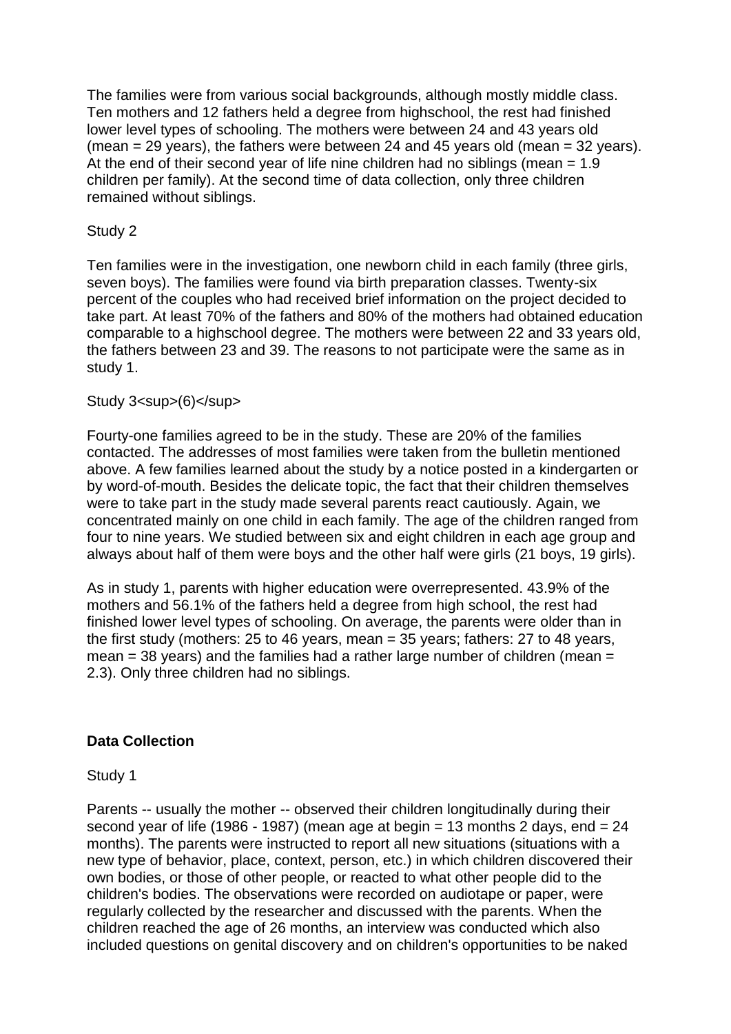The families were from various social backgrounds, although mostly middle class. Ten mothers and 12 fathers held a degree from highschool, the rest had finished lower level types of schooling. The mothers were between 24 and 43 years old (mean  $= 29$  years), the fathers were between 24 and 45 years old (mean  $= 32$  years). At the end of their second year of life nine children had no siblings (mean  $= 1.9$ ) children per family). At the second time of data collection, only three children remained without siblings.

## Study 2

Ten families were in the investigation, one newborn child in each family (three girls, seven boys). The families were found via birth preparation classes. Twenty-six percent of the couples who had received brief information on the project decided to take part. At least 70% of the fathers and 80% of the mothers had obtained education comparable to a highschool degree. The mothers were between 22 and 33 years old, the fathers between 23 and 39. The reasons to not participate were the same as in study 1.

## Study 3<sup>(6)</sup>

Fourty-one families agreed to be in the study. These are 20% of the families contacted. The addresses of most families were taken from the bulletin mentioned above. A few families learned about the study by a notice posted in a kindergarten or by word-of-mouth. Besides the delicate topic, the fact that their children themselves were to take part in the study made several parents react cautiously. Again, we concentrated mainly on one child in each family. The age of the children ranged from four to nine years. We studied between six and eight children in each age group and always about half of them were boys and the other half were girls (21 boys, 19 girls).

As in study 1, parents with higher education were overrepresented. 43.9% of the mothers and 56.1% of the fathers held a degree from high school, the rest had finished lower level types of schooling. On average, the parents were older than in the first study (mothers: 25 to 46 years, mean = 35 years; fathers: 27 to 48 years,  $mean = 38$  years) and the families had a rather large number of children (mean  $=$ 2.3). Only three children had no siblings.

## **Data Collection**

Study 1

Parents -- usually the mother -- observed their children longitudinally during their second year of life (1986 - 1987) (mean age at begin = 13 months 2 days, end = 24 months). The parents were instructed to report all new situations (situations with a new type of behavior, place, context, person, etc.) in which children discovered their own bodies, or those of other people, or reacted to what other people did to the children's bodies. The observations were recorded on audiotape or paper, were regularly collected by the researcher and discussed with the parents. When the children reached the age of 26 months, an interview was conducted which also included questions on genital discovery and on children's opportunities to be naked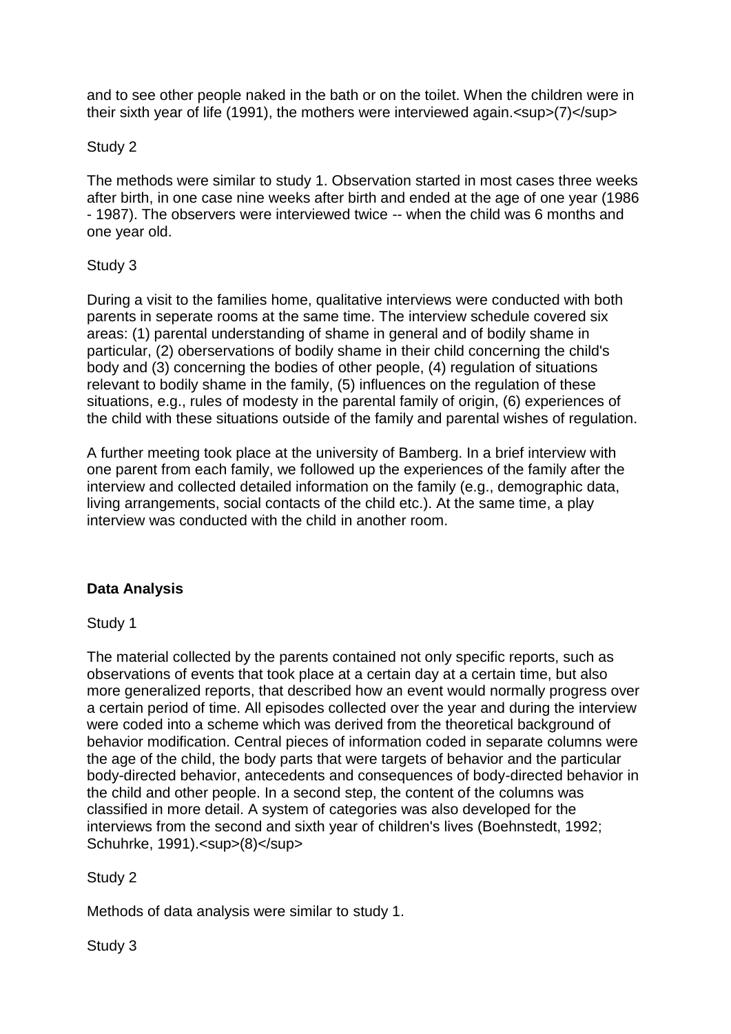and to see other people naked in the bath or on the toilet. When the children were in their sixth year of life (1991), the mothers were interviewed again.<sup>(7)</sup>

## Study 2

The methods were similar to study 1. Observation started in most cases three weeks after birth, in one case nine weeks after birth and ended at the age of one year (1986 - 1987). The observers were interviewed twice -- when the child was 6 months and one year old.

# Study 3

During a visit to the families home, qualitative interviews were conducted with both parents in seperate rooms at the same time. The interview schedule covered six areas: (1) parental understanding of shame in general and of bodily shame in particular, (2) oberservations of bodily shame in their child concerning the child's body and (3) concerning the bodies of other people, (4) regulation of situations relevant to bodily shame in the family, (5) influences on the regulation of these situations, e.g., rules of modesty in the parental family of origin, (6) experiences of the child with these situations outside of the family and parental wishes of regulation.

A further meeting took place at the university of Bamberg. In a brief interview with one parent from each family, we followed up the experiences of the family after the interview and collected detailed information on the family (e.g., demographic data, living arrangements, social contacts of the child etc.). At the same time, a play interview was conducted with the child in another room.

# **Data Analysis**

## Study 1

The material collected by the parents contained not only specific reports, such as observations of events that took place at a certain day at a certain time, but also more generalized reports, that described how an event would normally progress over a certain period of time. All episodes collected over the year and during the interview were coded into a scheme which was derived from the theoretical background of behavior modification. Central pieces of information coded in separate columns were the age of the child, the body parts that were targets of behavior and the particular body-directed behavior, antecedents and consequences of body-directed behavior in the child and other people. In a second step, the content of the columns was classified in more detail. A system of categories was also developed for the interviews from the second and sixth year of children's lives (Boehnstedt, 1992; Schuhrke, 1991).<sup>(8)</sup>

# Study 2

Methods of data analysis were similar to study 1.

Study 3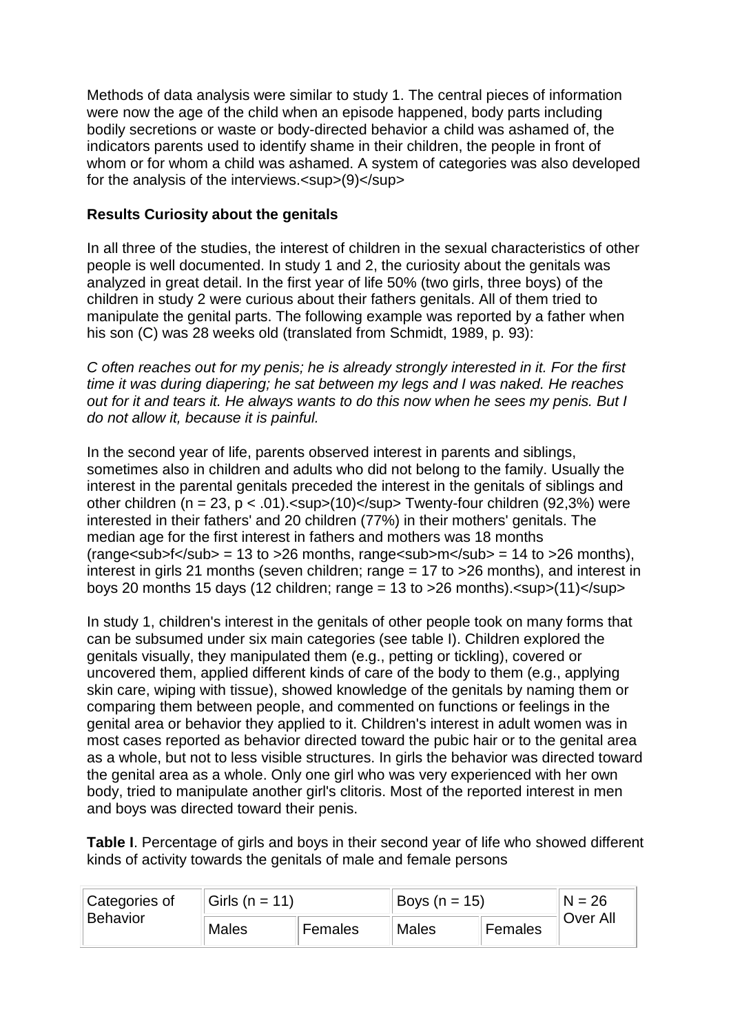Methods of data analysis were similar to study 1. The central pieces of information were now the age of the child when an episode happened, body parts including bodily secretions or waste or body-directed behavior a child was ashamed of, the indicators parents used to identify shame in their children, the people in front of whom or for whom a child was ashamed. A system of categories was also developed for the analysis of the interviews.<sup>(9)</sup>

# **Results Curiosity about the genitals**

In all three of the studies, the interest of children in the sexual characteristics of other people is well documented. In study 1 and 2, the curiosity about the genitals was analyzed in great detail. In the first year of life 50% (two girls, three boys) of the children in study 2 were curious about their fathers genitals. All of them tried to manipulate the genital parts. The following example was reported by a father when his son (C) was 28 weeks old (translated from Schmidt, 1989, p. 93):

*C often reaches out for my penis; he is already strongly interested in it. For the first time it was during diapering; he sat between my legs and I was naked. He reaches out for it and tears it. He always wants to do this now when he sees my penis. But I do not allow it, because it is painful.*

In the second year of life, parents observed interest in parents and siblings, sometimes also in children and adults who did not belong to the family. Usually the interest in the parental genitals preceded the interest in the genitals of siblings and other children (n = 23, p < .01).<sup>(10)</sup>Twenty-four children (92,3%) were interested in their fathers' and 20 children (77%) in their mothers' genitals. The median age for the first interest in fathers and mothers was 18 months (range  $\langle \text{sub}$  = 13 to > 26 months, range  $\langle \text{sub} \rangle = 14$  to > 26 months), interest in girls 21 months (seven children; range = 17 to >26 months), and interest in boys 20 months 15 days (12 children; range =  $13$  to  $>26$  months).  $\langle$ sup $>(11)\langle$ sup $>$ 

In study 1, children's interest in the genitals of other people took on many forms that can be subsumed under six main categories (see table I). Children explored the genitals visually, they manipulated them (e.g., petting or tickling), covered or uncovered them, applied different kinds of care of the body to them (e.g., applying skin care, wiping with tissue), showed knowledge of the genitals by naming them or comparing them between people, and commented on functions or feelings in the genital area or behavior they applied to it. Children's interest in adult women was in most cases reported as behavior directed toward the pubic hair or to the genital area as a whole, but not to less visible structures. In girls the behavior was directed toward the genital area as a whole. Only one girl who was very experienced with her own body, tried to manipulate another girl's clitoris. Most of the reported interest in men and boys was directed toward their penis.

**Table I**. Percentage of girls and boys in their second year of life who showed different kinds of activity towards the genitals of male and female persons

| Categories of<br><b>Behavior</b> | Girls ( $n = 11$ ) |         | Boys (n = 15) |         | $N = 26$ |
|----------------------------------|--------------------|---------|---------------|---------|----------|
|                                  | <b>Males</b>       | Females | <b>Males</b>  | Females | Over All |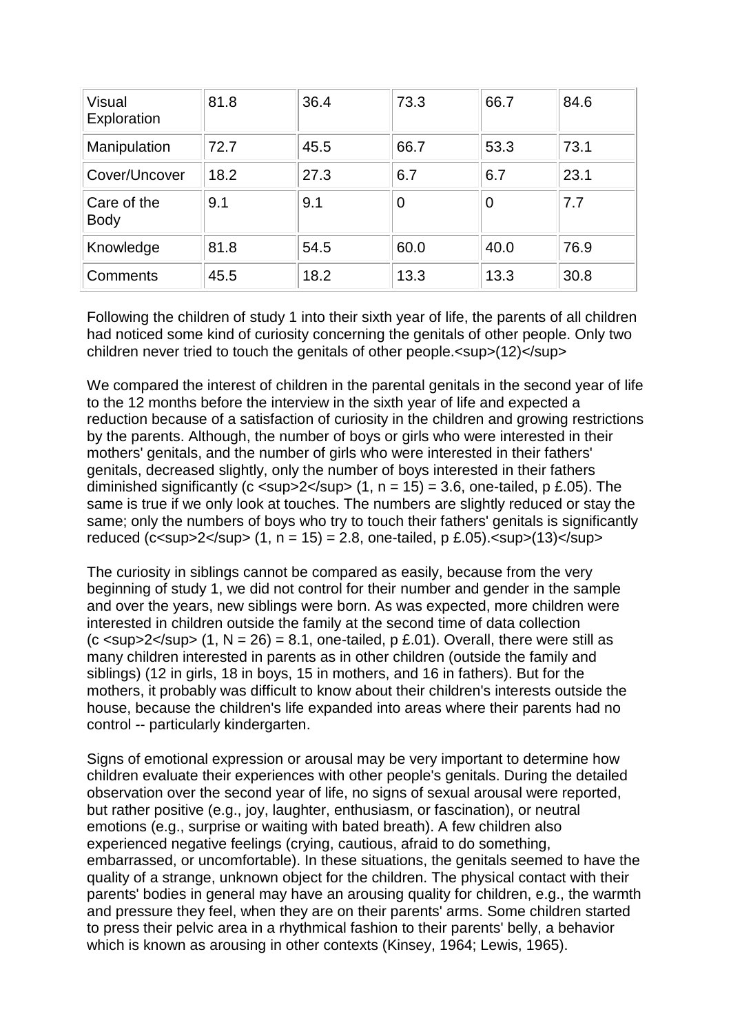| Visual<br>Exploration      | 81.8 | 36.4 | 73.3 | 66.7 | 84.6 |
|----------------------------|------|------|------|------|------|
| Manipulation               | 72.7 | 45.5 | 66.7 | 53.3 | 73.1 |
| Cover/Uncover              | 18.2 | 27.3 | 6.7  | 6.7  | 23.1 |
| Care of the<br><b>Body</b> | 9.1  | 9.1  | 0    | 0    | 7.7  |
| Knowledge                  | 81.8 | 54.5 | 60.0 | 40.0 | 76.9 |
| Comments                   | 45.5 | 18.2 | 13.3 | 13.3 | 30.8 |

Following the children of study 1 into their sixth year of life, the parents of all children had noticed some kind of curiosity concerning the genitals of other people. Only two children never tried to touch the genitals of other people.<sup>(12)</sup>

We compared the interest of children in the parental genitals in the second year of life to the 12 months before the interview in the sixth year of life and expected a reduction because of a satisfaction of curiosity in the children and growing restrictions by the parents. Although, the number of boys or girls who were interested in their mothers' genitals, and the number of girls who were interested in their fathers' genitals, decreased slightly, only the number of boys interested in their fathers diminished significantly (c <sup>2</sup> (1, n = 15) = 3.6, one-tailed, p £.05). The same is true if we only look at touches. The numbers are slightly reduced or stay the same; only the numbers of boys who try to touch their fathers' genitals is significantly reduced (c<sup>2</sup> (1, n = 15) = 2.8, one-tailed, p £.05).<sup>(13)</sup>

The curiosity in siblings cannot be compared as easily, because from the very beginning of study 1, we did not control for their number and gender in the sample and over the years, new siblings were born. As was expected, more children were interested in children outside the family at the second time of data collection  $(c \text{ <sup>2</sup>  $(c \text{ <sup>2</sup>  $(c \text{ <sup>2</sup>  $(c \text{ <sup>2</sup>  $(c \text{ <sup>2</sup>  $(c \text{ <sup>2</sup>  $(c \text{ <sup>2</sup>  $(c \text{ <sup>2</sup>  $(c \text{ <sup>2</sup>  $(c \text{ <sup>2</sup>  $(c \text{ <sup>2</sup>  $(c \text{ <sup>2</sup>  $(c \text{ <sup>2</sup>  $(c \text{ <sup>2</sup>  $(c \text{ <sup>2</sup>  $(c \text{ <sup>2</sup>$$$$$$$$$$$$$$$$ many children interested in parents as in other children (outside the family and siblings) (12 in girls, 18 in boys, 15 in mothers, and 16 in fathers). But for the mothers, it probably was difficult to know about their children's interests outside the house, because the children's life expanded into areas where their parents had no control -- particularly kindergarten.

Signs of emotional expression or arousal may be very important to determine how children evaluate their experiences with other people's genitals. During the detailed observation over the second year of life, no signs of sexual arousal were reported, but rather positive (e.g., joy, laughter, enthusiasm, or fascination), or neutral emotions (e.g., surprise or waiting with bated breath). A few children also experienced negative feelings (crying, cautious, afraid to do something, embarrassed, or uncomfortable). In these situations, the genitals seemed to have the quality of a strange, unknown object for the children. The physical contact with their parents' bodies in general may have an arousing quality for children, e.g., the warmth and pressure they feel, when they are on their parents' arms. Some children started to press their pelvic area in a rhythmical fashion to their parents' belly, a behavior which is known as arousing in other contexts (Kinsey, 1964; Lewis, 1965).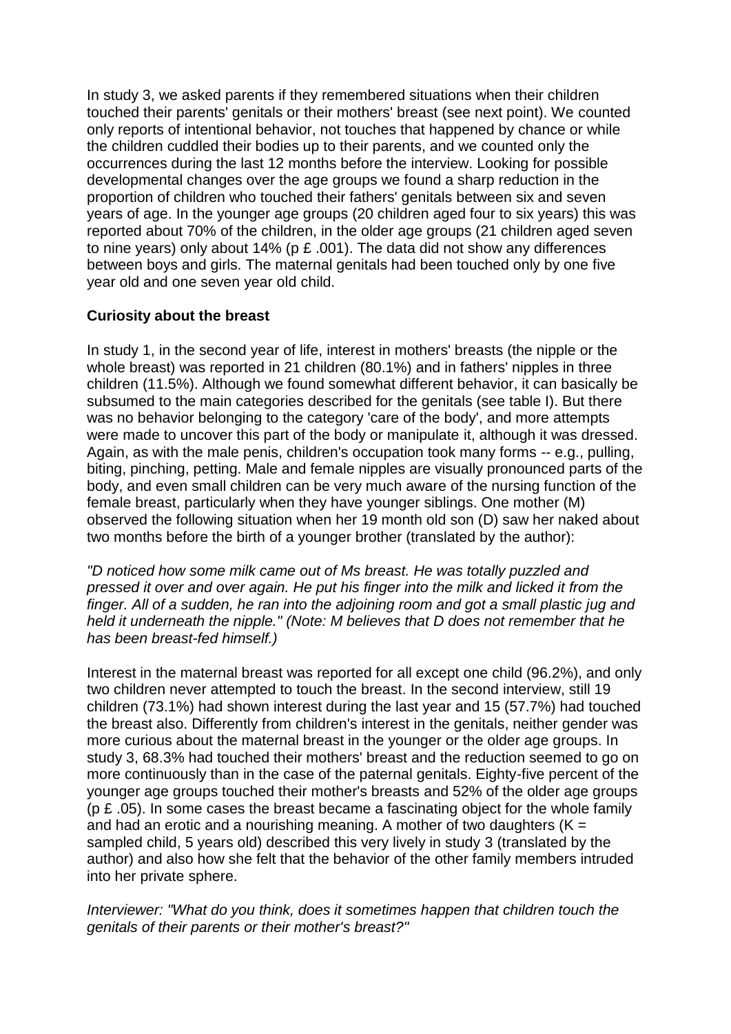In study 3, we asked parents if they remembered situations when their children touched their parents' genitals or their mothers' breast (see next point). We counted only reports of intentional behavior, not touches that happened by chance or while the children cuddled their bodies up to their parents, and we counted only the occurrences during the last 12 months before the interview. Looking for possible developmental changes over the age groups we found a sharp reduction in the proportion of children who touched their fathers' genitals between six and seven years of age. In the younger age groups (20 children aged four to six years) this was reported about 70% of the children, in the older age groups (21 children aged seven to nine years) only about 14% (p £ .001). The data did not show any differences between boys and girls. The maternal genitals had been touched only by one five year old and one seven year old child.

# **Curiosity about the breast**

In study 1, in the second year of life, interest in mothers' breasts (the nipple or the whole breast) was reported in 21 children (80.1%) and in fathers' nipples in three children (11.5%). Although we found somewhat different behavior, it can basically be subsumed to the main categories described for the genitals (see table I). But there was no behavior belonging to the category 'care of the body', and more attempts were made to uncover this part of the body or manipulate it, although it was dressed. Again, as with the male penis, children's occupation took many forms -- e.g., pulling, biting, pinching, petting. Male and female nipples are visually pronounced parts of the body, and even small children can be very much aware of the nursing function of the female breast, particularly when they have younger siblings. One mother (M) observed the following situation when her 19 month old son (D) saw her naked about two months before the birth of a younger brother (translated by the author):

*"D noticed how some milk came out of Ms breast. He was totally puzzled and pressed it over and over again. He put his finger into the milk and licked it from the finger. All of a sudden, he ran into the adjoining room and got a small plastic jug and held it underneath the nipple." (Note: M believes that D does not remember that he has been breast-fed himself.)*

Interest in the maternal breast was reported for all except one child (96.2%), and only two children never attempted to touch the breast. In the second interview, still 19 children (73.1%) had shown interest during the last year and 15 (57.7%) had touched the breast also. Differently from children's interest in the genitals, neither gender was more curious about the maternal breast in the younger or the older age groups. In study 3, 68.3% had touched their mothers' breast and the reduction seemed to go on more continuously than in the case of the paternal genitals. Eighty-five percent of the younger age groups touched their mother's breasts and 52% of the older age groups ( $p \nvert$   $E$  .05). In some cases the breast became a fascinating object for the whole family and had an erotic and a nourishing meaning. A mother of two daughters  $(K =$ sampled child, 5 years old) described this very lively in study 3 (translated by the author) and also how she felt that the behavior of the other family members intruded into her private sphere.

*Interviewer: "What do you think, does it sometimes happen that children touch the genitals of their parents or their mother's breast?"*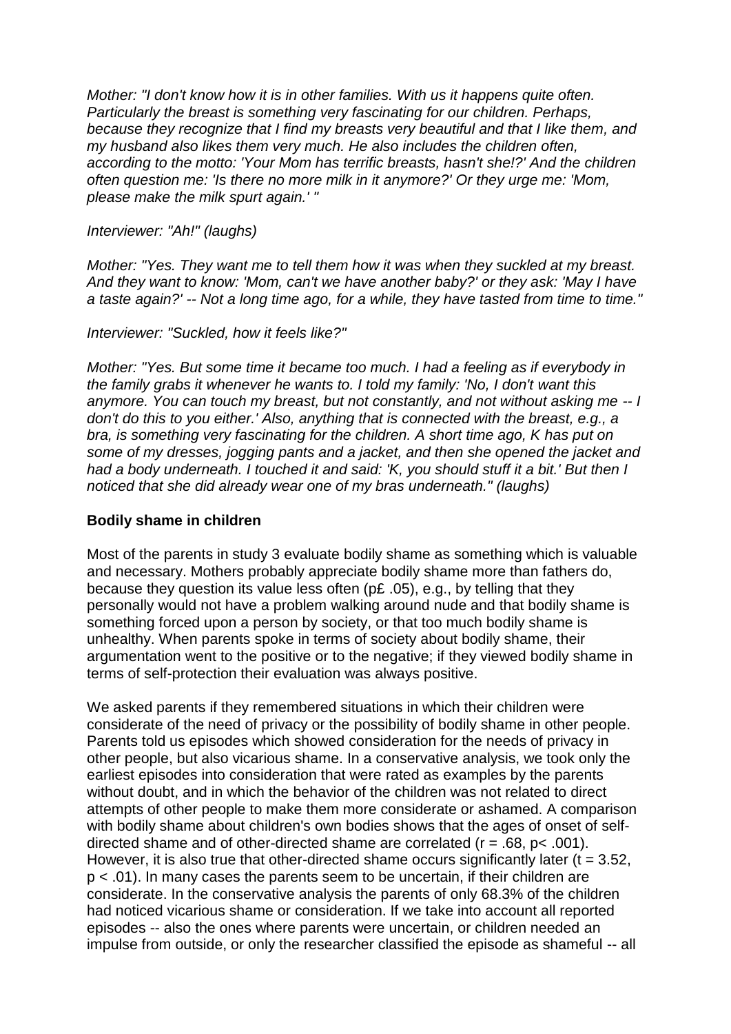*Mother: "I don't know how it is in other families. With us it happens quite often. Particularly the breast is something very fascinating for our children. Perhaps, because they recognize that I find my breasts very beautiful and that I like them, and my husband also likes them very much. He also includes the children often, according to the motto: 'Your Mom has terrific breasts, hasn't she!?' And the children often question me: 'Is there no more milk in it anymore?' Or they urge me: 'Mom, please make the milk spurt again.' "*

#### *Interviewer: "Ah!" (laughs)*

*Mother: "Yes. They want me to tell them how it was when they suckled at my breast. And they want to know: 'Mom, can't we have another baby?' or they ask: 'May I have a taste again?' -- Not a long time ago, for a while, they have tasted from time to time."*

#### *Interviewer: "Suckled, how it feels like?"*

*Mother: "Yes. But some time it became too much. I had a feeling as if everybody in the family grabs it whenever he wants to. I told my family: 'No, I don't want this anymore. You can touch my breast, but not constantly, and not without asking me -- I don't do this to you either.' Also, anything that is connected with the breast, e.g., a bra, is something very fascinating for the children. A short time ago, K has put on some of my dresses, jogging pants and a jacket, and then she opened the jacket and had a body underneath. I touched it and said: 'K, you should stuff it a bit.' But then I noticed that she did already wear one of my bras underneath." (laughs)*

## **Bodily shame in children**

Most of the parents in study 3 evaluate bodily shame as something which is valuable and necessary. Mothers probably appreciate bodily shame more than fathers do, because they question its value less often (p£ .05), e.g., by telling that they personally would not have a problem walking around nude and that bodily shame is something forced upon a person by society, or that too much bodily shame is unhealthy. When parents spoke in terms of society about bodily shame, their argumentation went to the positive or to the negative; if they viewed bodily shame in terms of self-protection their evaluation was always positive.

We asked parents if they remembered situations in which their children were considerate of the need of privacy or the possibility of bodily shame in other people. Parents told us episodes which showed consideration for the needs of privacy in other people, but also vicarious shame. In a conservative analysis, we took only the earliest episodes into consideration that were rated as examples by the parents without doubt, and in which the behavior of the children was not related to direct attempts of other people to make them more considerate or ashamed. A comparison with bodily shame about children's own bodies shows that the ages of onset of selfdirected shame and of other-directed shame are correlated  $(r = .68, p < .001)$ . However, it is also true that other-directed shame occurs significantly later ( $t = 3.52$ , p < .01). In many cases the parents seem to be uncertain, if their children are considerate. In the conservative analysis the parents of only 68.3% of the children had noticed vicarious shame or consideration. If we take into account all reported episodes -- also the ones where parents were uncertain, or children needed an impulse from outside, or only the researcher classified the episode as shameful -- all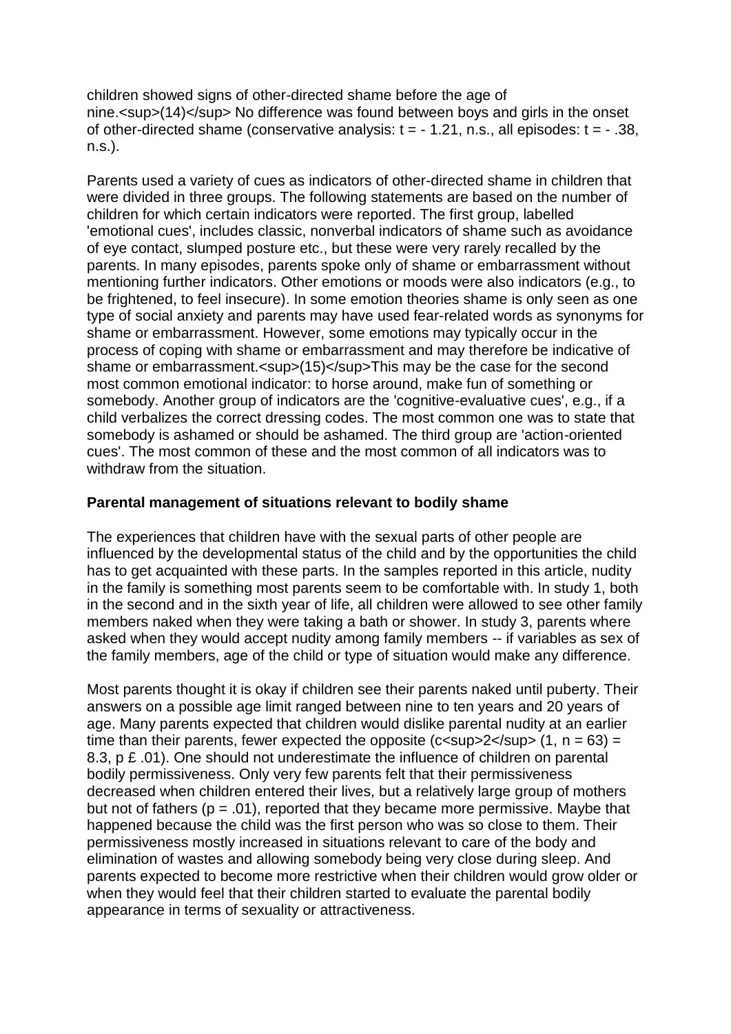children showed signs of other-directed shame before the age of nine.<sup>(14)</sup> No difference was found between boys and girls in the onset of other-directed shame (conservative analysis:  $t = -1.21$ , n.s., all episodes:  $t = -0.38$ , n.s.).

Parents used a variety of cues as indicators of other-directed shame in children that were divided in three groups. The following statements are based on the number of children for which certain indicators were reported. The first group, labelled 'emotional cues', includes classic, nonverbal indicators of shame such as avoidance of eye contact, slumped posture etc., but these were very rarely recalled by the parents. In many episodes, parents spoke only of shame or embarrassment without mentioning further indicators. Other emotions or moods were also indicators (e.g., to be frightened, to feel insecure). In some emotion theories shame is only seen as one type of social anxiety and parents may have used fear-related words as synonyms for shame or embarrassment. However, some emotions may typically occur in the process of coping with shame or embarrassment and may therefore be indicative of shame or embarrassment.<sup>(15)</sup>This may be the case for the second most common emotional indicator: to horse around, make fun of something or somebody. Another group of indicators are the 'cognitive-evaluative cues', e.g., if a child verbalizes the correct dressing codes. The most common one was to state that somebody is ashamed or should be ashamed. The third group are 'action-oriented cues'. The most common of these and the most common of all indicators was to withdraw from the situation.

# **Parental management of situations relevant to bodily shame**

The experiences that children have with the sexual parts of other people are influenced by the developmental status of the child and by the opportunities the child has to get acquainted with these parts. In the samples reported in this article, nudity in the family is something most parents seem to be comfortable with. In study 1, both in the second and in the sixth year of life, all children were allowed to see other family members naked when they were taking a bath or shower. In study 3, parents where asked when they would accept nudity among family members -- if variables as sex of the family members, age of the child or type of situation would make any difference.

Most parents thought it is okay if children see their parents naked until puberty. Their answers on a possible age limit ranged between nine to ten years and 20 years of age. Many parents expected that children would dislike parental nudity at an earlier time than their parents, fewer expected the opposite (c $\langle$ sup $\rangle$ 2 $\langle$ sup $\rangle$  (1, n = 63) = 8.3, p £ .01). One should not underestimate the influence of children on parental bodily permissiveness. Only very few parents felt that their permissiveness decreased when children entered their lives, but a relatively large group of mothers but not of fathers ( $p = .01$ ), reported that they became more permissive. Maybe that happened because the child was the first person who was so close to them. Their permissiveness mostly increased in situations relevant to care of the body and elimination of wastes and allowing somebody being very close during sleep. And parents expected to become more restrictive when their children would grow older or when they would feel that their children started to evaluate the parental bodily appearance in terms of sexuality or attractiveness.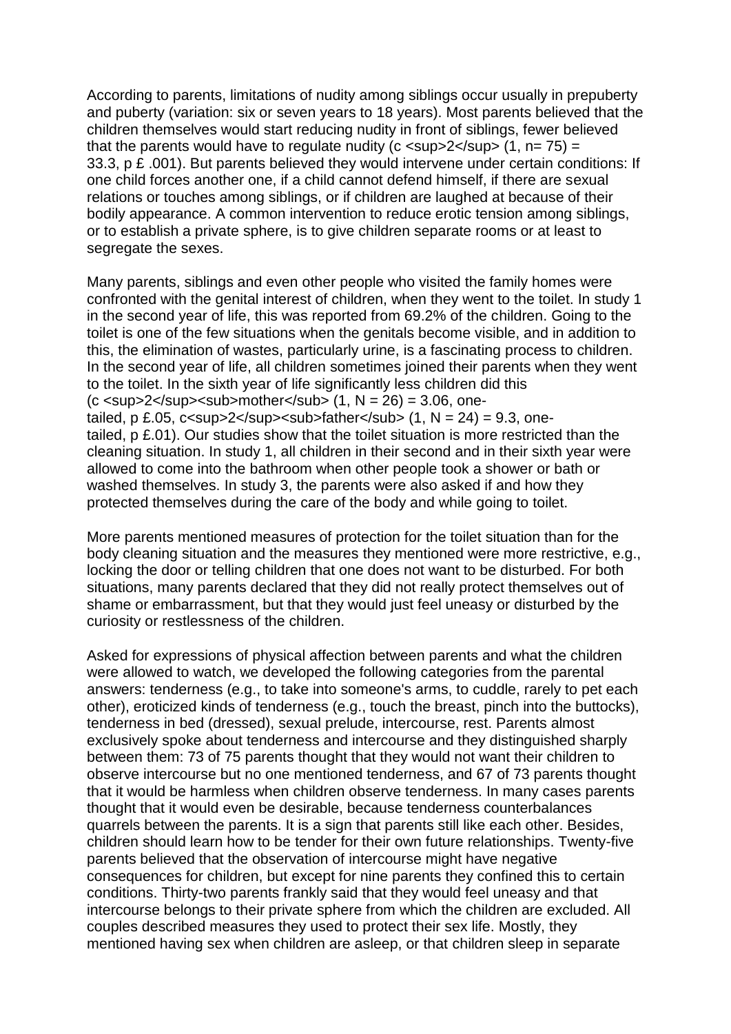According to parents, limitations of nudity among siblings occur usually in prepuberty and puberty (variation: six or seven years to 18 years). Most parents believed that the children themselves would start reducing nudity in front of siblings, fewer believed that the parents would have to regulate nudity ( $c$  < sup >  $2$  < /sup >  $(1, n= 75)$  = 33.3, p £ .001). But parents believed they would intervene under certain conditions: If one child forces another one, if a child cannot defend himself, if there are sexual relations or touches among siblings, or if children are laughed at because of their bodily appearance. A common intervention to reduce erotic tension among siblings, or to establish a private sphere, is to give children separate rooms or at least to segregate the sexes.

Many parents, siblings and even other people who visited the family homes were confronted with the genital interest of children, when they went to the toilet. In study 1 in the second year of life, this was reported from 69.2% of the children. Going to the toilet is one of the few situations when the genitals become visible, and in addition to this, the elimination of wastes, particularly urine, is a fascinating process to children. In the second year of life, all children sometimes joined their parents when they went to the toilet. In the sixth year of life significantly less children did this (c <sup>2</sup><sub>mother</sub> (1, N = 26) = 3.06, onetailed, p £.05, c<sup>2</sup><sub>father</sub> (1, N = 24) = 9.3, onetailed, p £.01). Our studies show that the toilet situation is more restricted than the cleaning situation. In study 1, all children in their second and in their sixth year were allowed to come into the bathroom when other people took a shower or bath or washed themselves. In study 3, the parents were also asked if and how they protected themselves during the care of the body and while going to toilet.

More parents mentioned measures of protection for the toilet situation than for the body cleaning situation and the measures they mentioned were more restrictive, e.g., locking the door or telling children that one does not want to be disturbed. For both situations, many parents declared that they did not really protect themselves out of shame or embarrassment, but that they would just feel uneasy or disturbed by the curiosity or restlessness of the children.

Asked for expressions of physical affection between parents and what the children were allowed to watch, we developed the following categories from the parental answers: tenderness (e.g., to take into someone's arms, to cuddle, rarely to pet each other), eroticized kinds of tenderness (e.g., touch the breast, pinch into the buttocks), tenderness in bed (dressed), sexual prelude, intercourse, rest. Parents almost exclusively spoke about tenderness and intercourse and they distinguished sharply between them: 73 of 75 parents thought that they would not want their children to observe intercourse but no one mentioned tenderness, and 67 of 73 parents thought that it would be harmless when children observe tenderness. In many cases parents thought that it would even be desirable, because tenderness counterbalances quarrels between the parents. It is a sign that parents still like each other. Besides, children should learn how to be tender for their own future relationships. Twenty-five parents believed that the observation of intercourse might have negative consequences for children, but except for nine parents they confined this to certain conditions. Thirty-two parents frankly said that they would feel uneasy and that intercourse belongs to their private sphere from which the children are excluded. All couples described measures they used to protect their sex life. Mostly, they mentioned having sex when children are asleep, or that children sleep in separate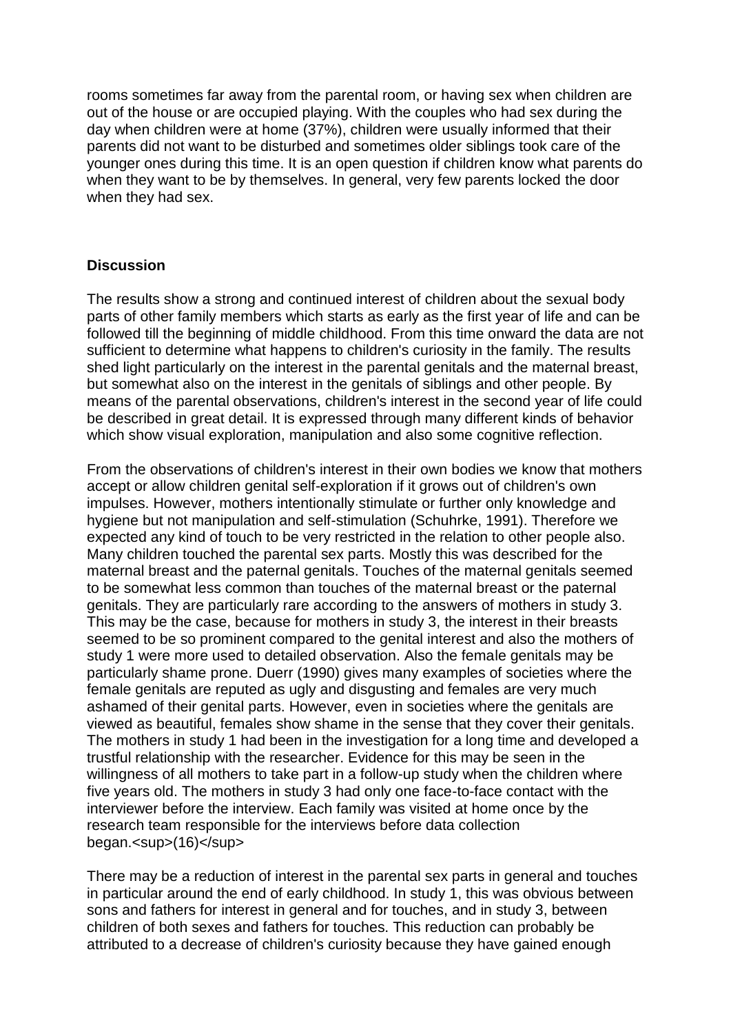rooms sometimes far away from the parental room, or having sex when children are out of the house or are occupied playing. With the couples who had sex during the day when children were at home (37%), children were usually informed that their parents did not want to be disturbed and sometimes older siblings took care of the younger ones during this time. It is an open question if children know what parents do when they want to be by themselves. In general, very few parents locked the door when they had sex.

## **Discussion**

The results show a strong and continued interest of children about the sexual body parts of other family members which starts as early as the first year of life and can be followed till the beginning of middle childhood. From this time onward the data are not sufficient to determine what happens to children's curiosity in the family. The results shed light particularly on the interest in the parental genitals and the maternal breast, but somewhat also on the interest in the genitals of siblings and other people. By means of the parental observations, children's interest in the second year of life could be described in great detail. It is expressed through many different kinds of behavior which show visual exploration, manipulation and also some cognitive reflection.

From the observations of children's interest in their own bodies we know that mothers accept or allow children genital self-exploration if it grows out of children's own impulses. However, mothers intentionally stimulate or further only knowledge and hygiene but not manipulation and self-stimulation (Schuhrke, 1991). Therefore we expected any kind of touch to be very restricted in the relation to other people also. Many children touched the parental sex parts. Mostly this was described for the maternal breast and the paternal genitals. Touches of the maternal genitals seemed to be somewhat less common than touches of the maternal breast or the paternal genitals. They are particularly rare according to the answers of mothers in study 3. This may be the case, because for mothers in study 3, the interest in their breasts seemed to be so prominent compared to the genital interest and also the mothers of study 1 were more used to detailed observation. Also the female genitals may be particularly shame prone. Duerr (1990) gives many examples of societies where the female genitals are reputed as ugly and disgusting and females are very much ashamed of their genital parts. However, even in societies where the genitals are viewed as beautiful, females show shame in the sense that they cover their genitals. The mothers in study 1 had been in the investigation for a long time and developed a trustful relationship with the researcher. Evidence for this may be seen in the willingness of all mothers to take part in a follow-up study when the children where five years old. The mothers in study 3 had only one face-to-face contact with the interviewer before the interview. Each family was visited at home once by the research team responsible for the interviews before data collection began.<sup>(16)</sup>

There may be a reduction of interest in the parental sex parts in general and touches in particular around the end of early childhood. In study 1, this was obvious between sons and fathers for interest in general and for touches, and in study 3, between children of both sexes and fathers for touches. This reduction can probably be attributed to a decrease of children's curiosity because they have gained enough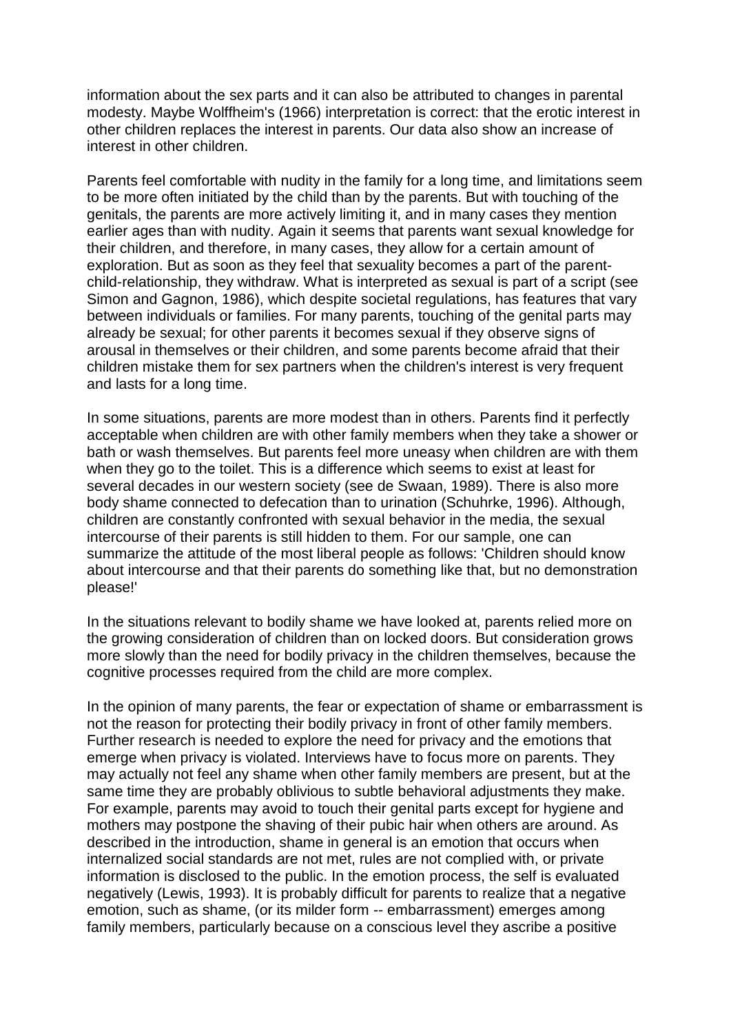information about the sex parts and it can also be attributed to changes in parental modesty. Maybe Wolffheim's (1966) interpretation is correct: that the erotic interest in other children replaces the interest in parents. Our data also show an increase of interest in other children.

Parents feel comfortable with nudity in the family for a long time, and limitations seem to be more often initiated by the child than by the parents. But with touching of the genitals, the parents are more actively limiting it, and in many cases they mention earlier ages than with nudity. Again it seems that parents want sexual knowledge for their children, and therefore, in many cases, they allow for a certain amount of exploration. But as soon as they feel that sexuality becomes a part of the parentchild-relationship, they withdraw. What is interpreted as sexual is part of a script (see Simon and Gagnon, 1986), which despite societal regulations, has features that vary between individuals or families. For many parents, touching of the genital parts may already be sexual; for other parents it becomes sexual if they observe signs of arousal in themselves or their children, and some parents become afraid that their children mistake them for sex partners when the children's interest is very frequent and lasts for a long time.

In some situations, parents are more modest than in others. Parents find it perfectly acceptable when children are with other family members when they take a shower or bath or wash themselves. But parents feel more uneasy when children are with them when they go to the toilet. This is a difference which seems to exist at least for several decades in our western society (see de Swaan, 1989). There is also more body shame connected to defecation than to urination (Schuhrke, 1996). Although, children are constantly confronted with sexual behavior in the media, the sexual intercourse of their parents is still hidden to them. For our sample, one can summarize the attitude of the most liberal people as follows: 'Children should know about intercourse and that their parents do something like that, but no demonstration please!'

In the situations relevant to bodily shame we have looked at, parents relied more on the growing consideration of children than on locked doors. But consideration grows more slowly than the need for bodily privacy in the children themselves, because the cognitive processes required from the child are more complex.

In the opinion of many parents, the fear or expectation of shame or embarrassment is not the reason for protecting their bodily privacy in front of other family members. Further research is needed to explore the need for privacy and the emotions that emerge when privacy is violated. Interviews have to focus more on parents. They may actually not feel any shame when other family members are present, but at the same time they are probably oblivious to subtle behavioral adjustments they make. For example, parents may avoid to touch their genital parts except for hygiene and mothers may postpone the shaving of their pubic hair when others are around. As described in the introduction, shame in general is an emotion that occurs when internalized social standards are not met, rules are not complied with, or private information is disclosed to the public. In the emotion process, the self is evaluated negatively (Lewis, 1993). It is probably difficult for parents to realize that a negative emotion, such as shame, (or its milder form -- embarrassment) emerges among family members, particularly because on a conscious level they ascribe a positive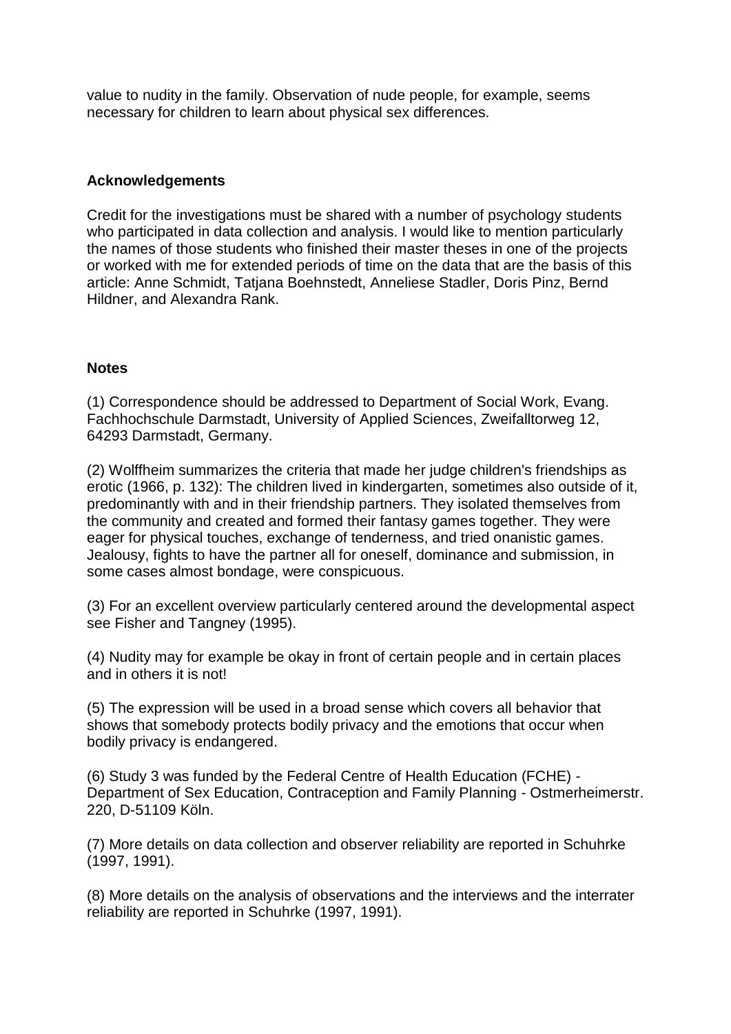value to nudity in the family. Observation of nude people, for example, seems necessary for children to learn about physical sex differences.

## **Acknowledgements**

Credit for the investigations must be shared with a number of psychology students who participated in data collection and analysis. I would like to mention particularly the names of those students who finished their master theses in one of the projects or worked with me for extended periods of time on the data that are the basis of this article: Anne Schmidt, Tatjana Boehnstedt, Anneliese Stadler, Doris Pinz, Bernd Hildner, and Alexandra Rank.

## **Notes**

(1) Correspondence should be addressed to Department of Social Work, Evang. Fachhochschule Darmstadt, University of Applied Sciences, Zweifalltorweg 12, 64293 Darmstadt, Germany.

(2) Wolffheim summarizes the criteria that made her judge children's friendships as erotic (1966, p. 132): The children lived in kindergarten, sometimes also outside of it, predominantly with and in their friendship partners. They isolated themselves from the community and created and formed their fantasy games together. They were eager for physical touches, exchange of tenderness, and tried onanistic games. Jealousy, fights to have the partner all for oneself, dominance and submission, in some cases almost bondage, were conspicuous.

(3) For an excellent overview particularly centered around the developmental aspect see Fisher and Tangney (1995).

(4) Nudity may for example be okay in front of certain people and in certain places and in others it is not!

(5) The expression will be used in a broad sense which covers all behavior that shows that somebody protects bodily privacy and the emotions that occur when bodily privacy is endangered.

(6) Study 3 was funded by the Federal Centre of Health Education (FCHE) - Department of Sex Education, Contraception and Family Planning - Ostmerheimerstr. 220, D-51109 Köln.

(7) More details on data collection and observer reliability are reported in Schuhrke (1997, 1991).

(8) More details on the analysis of observations and the interviews and the interrater reliability are reported in Schuhrke (1997, 1991).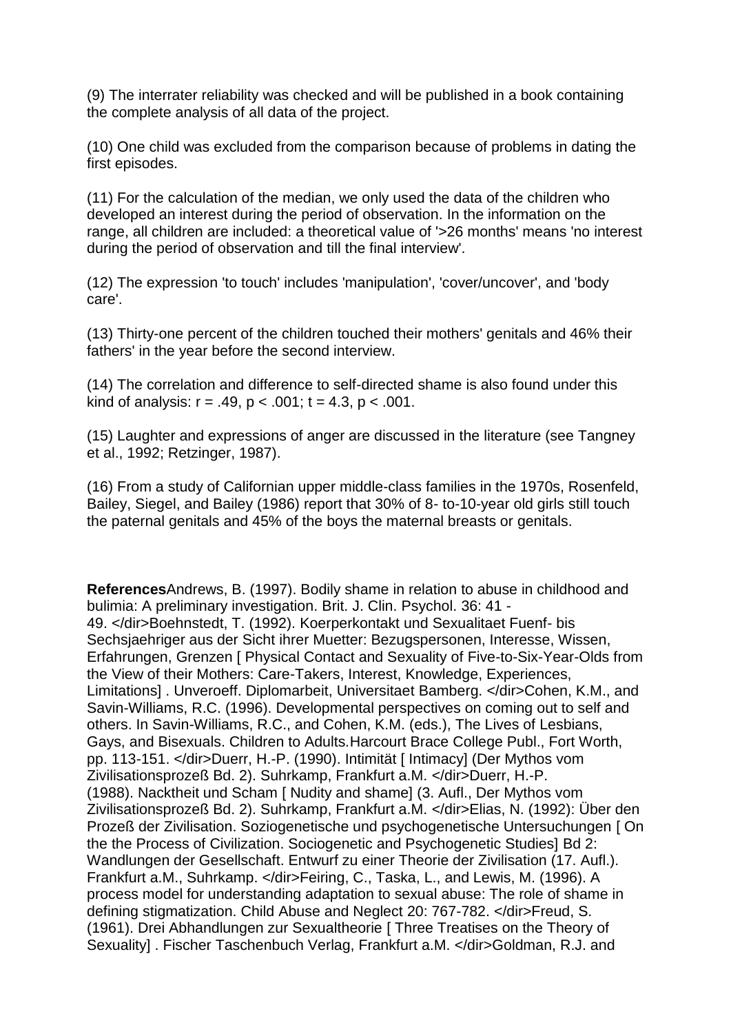(9) The interrater reliability was checked and will be published in a book containing the complete analysis of all data of the project.

(10) One child was excluded from the comparison because of problems in dating the first episodes.

(11) For the calculation of the median, we only used the data of the children who developed an interest during the period of observation. In the information on the range, all children are included: a theoretical value of '>26 months' means 'no interest during the period of observation and till the final interview'.

(12) The expression 'to touch' includes 'manipulation', 'cover/uncover', and 'body care'.

(13) Thirty-one percent of the children touched their mothers' genitals and 46% their fathers' in the year before the second interview.

(14) The correlation and difference to self-directed shame is also found under this kind of analysis:  $r = .49$ ,  $p < .001$ ;  $t = 4.3$ ,  $p < .001$ .

(15) Laughter and expressions of anger are discussed in the literature (see Tangney et al., 1992; Retzinger, 1987).

(16) From a study of Californian upper middle-class families in the 1970s, Rosenfeld, Bailey, Siegel, and Bailey (1986) report that 30% of 8- to-10-year old girls still touch the paternal genitals and 45% of the boys the maternal breasts or genitals.

**References**Andrews, B. (1997). Bodily shame in relation to abuse in childhood and bulimia: A preliminary investigation. Brit. J. Clin. Psychol. 36: 41 - 49. </dir>Boehnstedt, T. (1992). Koerperkontakt und Sexualitaet Fuenf- bis Sechsjaehriger aus der Sicht ihrer Muetter: Bezugspersonen, Interesse, Wissen, Erfahrungen, Grenzen [ Physical Contact and Sexuality of Five-to-Six-Year-Olds from the View of their Mothers: Care-Takers, Interest, Knowledge, Experiences, Limitations] . Unveroeff. Diplomarbeit, Universitaet Bamberg. </dir>Cohen, K.M., and Savin-Williams, R.C. (1996). Developmental perspectives on coming out to self and others. In Savin-Williams, R.C., and Cohen, K.M. (eds.), The Lives of Lesbians, Gays, and Bisexuals. Children to Adults*.*Harcourt Brace College Publ., Fort Worth, pp. 113-151. </dir>Duerr, H.-P. (1990). Intimität [ Intimacy] (Der Mythos vom Zivilisationsprozeß Bd. 2). Suhrkamp, Frankfurt a.M. </dir>Duerr, H.-P. (1988). Nacktheit und Scham [ Nudity and shame] (3. Aufl., Der Mythos vom Zivilisationsprozeß Bd. 2). Suhrkamp, Frankfurt a.M. </dir>Elias, N. (1992): Über den Prozeß der Zivilisation. Soziogenetische und psychogenetische Untersuchungen [ On the the Process of Civilization. Sociogenetic and Psychogenetic Studies] Bd 2: Wandlungen der Gesellschaft. Entwurf zu einer Theorie der Zivilisation (17. Aufl.). Frankfurt a.M., Suhrkamp. </dir>Feiring, C., Taska, L., and Lewis, M. (1996). A process model for understanding adaptation to sexual abuse: The role of shame in defining stigmatization. Child Abuse and Neglect 20: 767-782. </dir>Freud, S. (1961). Drei Abhandlungen zur Sexualtheorie [ Three Treatises on the Theory of Sexuality] . Fischer Taschenbuch Verlag, Frankfurt a.M. </dir>Goldman, R.J. and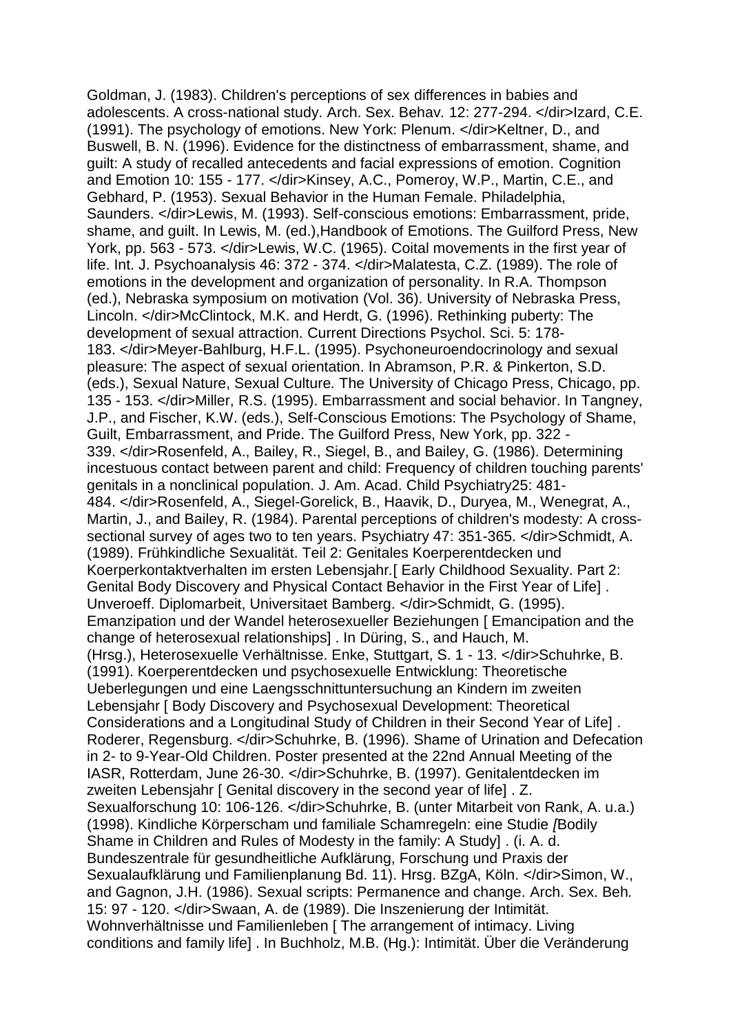Goldman, J. (1983). Children's perceptions of sex differences in babies and adolescents. A cross-national study. Arch. Sex. Behav*.* 12: 277-294. </dir>Izard, C.E. (1991). The psychology of emotions. New York: Plenum. </dir>Keltner, D., and Buswell, B. N. (1996). Evidence for the distinctness of embarrassment, shame, and guilt: A study of recalled antecedents and facial expressions of emotion. Cognition and Emotion 10: 155 - 177. </dir>Kinsey, A.C., Pomeroy, W.P., Martin, C.E., and Gebhard, P. (1953). Sexual Behavior in the Human Female. Philadelphia, Saunders. </dir>Lewis, M. (1993). Self-conscious emotions: Embarrassment, pride, shame, and guilt. In Lewis, M. (ed.),Handbook of Emotions. The Guilford Press, New York, pp. 563 - 573. </dir>Lewis, W.C. (1965). Coital movements in the first year of life. Int. J. Psychoanalysis 46: 372 - 374. </dir>Malatesta, C.Z. (1989). The role of emotions in the development and organization of personality. In R.A. Thompson (ed.), Nebraska symposium on motivation (Vol. 36). University of Nebraska Press, Lincoln. </dir>McClintock, M.K. and Herdt, G. (1996). Rethinking puberty: The development of sexual attraction. Current Directions Psychol. Sci. 5: 178- 183. </dir>Meyer-Bahlburg, H.F.L. (1995). Psychoneuroendocrinology and sexual pleasure: The aspect of sexual orientation. In Abramson, P.R. & Pinkerton, S.D. (eds.), Sexual Nature, Sexual Culture*.* The University of Chicago Press, Chicago, pp. 135 - 153. </dir>Miller, R.S. (1995). Embarrassment and social behavior. In Tangney, J.P., and Fischer, K.W. (eds.), Self-Conscious Emotions: The Psychology of Shame, Guilt, Embarrassment, and Pride. The Guilford Press, New York, pp. 322 - 339. </dir>Rosenfeld, A., Bailey, R., Siegel, B., and Bailey, G. (1986). Determining incestuous contact between parent and child: Frequency of children touching parents' genitals in a nonclinical population. J. Am. Acad. Child Psychiatry25: 481- 484. </dir>Rosenfeld, A., Siegel-Gorelick, B., Haavik, D., Duryea, M., Wenegrat, A., Martin, J., and Bailey, R. (1984). Parental perceptions of children's modesty: A crosssectional survey of ages two to ten years. Psychiatry 47: 351-365. </dir>Schmidt, A. (1989). Frühkindliche Sexualität. Teil 2: Genitales Koerperentdecken und Koerperkontaktverhalten im ersten Lebensjahr*.*[ Early Childhood Sexuality. Part 2: Genital Body Discovery and Physical Contact Behavior in the First Year of Life] . Unveroeff. Diplomarbeit, Universitaet Bamberg. </dir>Schmidt, G. (1995). Emanzipation und der Wandel heterosexueller Beziehungen [ Emancipation and the change of heterosexual relationships] . In Düring, S., and Hauch, M. (Hrsg.), Heterosexuelle Verhältnisse. Enke, Stuttgart, S. 1 - 13. </dir>Schuhrke, B. (1991). Koerperentdecken und psychosexuelle Entwicklung: Theoretische Ueberlegungen und eine Laengsschnittuntersuchung an Kindern im zweiten Lebensjahr [ Body Discovery and Psychosexual Development: Theoretical Considerations and a Longitudinal Study of Children in their Second Year of Life] . Roderer, Regensburg. </dir>Schuhrke, B. (1996). Shame of Urination and Defecation in 2- to 9-Year-Old Children. Poster presented at the 22nd Annual Meeting of the IASR, Rotterdam, June 26-30. </dir>Schuhrke, B. (1997). Genitalentdecken im zweiten Lebensiahr [ Genital discovery in the second year of life] . Z. Sexualforschung 10: 106-126. </dir>Schuhrke, B. (unter Mitarbeit von Rank, A. u.a.) (1998). Kindliche Körperscham und familiale Schamregeln: eine Studie *[*Bodily Shame in Children and Rules of Modesty in the family: A Study] . (i. A. d. Bundeszentrale für gesundheitliche Aufklärung, Forschung und Praxis der Sexualaufklärung und Familienplanung Bd. 11). Hrsg. BZgA, Köln. </dir>Simon, W., and Gagnon, J.H. (1986). Sexual scripts: Permanence and change. Arch. Sex. Beh*.*  15: 97 - 120. </dir>Swaan, A. de (1989). Die Inszenierung der Intimität. Wohnverhältnisse und Familienleben [ The arrangement of intimacy. Living conditions and family life] . In Buchholz, M.B. (Hg.): Intimität. Über die Veränderung